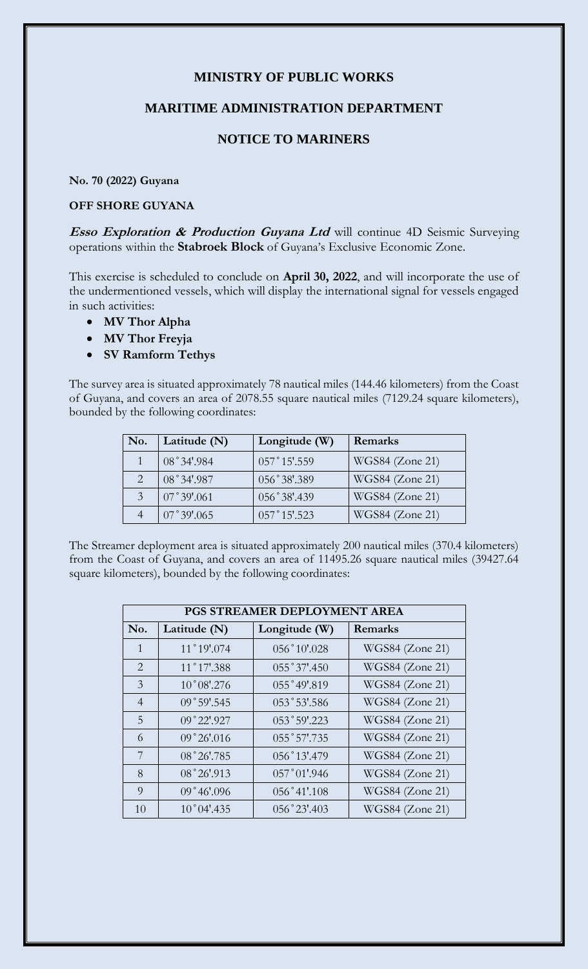# **MINISTRY OF PUBLIC WORKS**

#### **MARITIME ADMINISTRATION DEPARTMENT**

## **NOTICE TO MARINERS**

#### **No. 70 (2022) Guyana**

### **OFF SHORE GUYANA**

**Esso Exploration & Production Guyana Ltd** will continue 4D Seismic Surveying operations within the **Stabroek Block** of Guyana's Exclusive Economic Zone.

This exercise is scheduled to conclude on **April 30, 2022**, and will incorporate the use of the undermentioned vessels, which will display the international signal for vessels engaged in such activities:

- **MV Thor Alpha**
- **MV Thor Freyja**
- **SV Ramform Tethys**

The survey area is situated approximately 78 nautical miles (144.46 kilometers) from the Coast of Guyana, and covers an area of 2078.55 square nautical miles (7129.24 square kilometers), bounded by the following coordinates:

| No.           | Latitude (N)       | Longitude (W)  | Remarks         |
|---------------|--------------------|----------------|-----------------|
|               | 08°34'.984         | 057°15'.559    | WGS84 (Zone 21) |
|               | 08°34'.987         | 056°38'.389    | WGS84 (Zone 21) |
| $\mathcal{E}$ | $07^{\circ}39'061$ | 056°38'.439    | WGS84 (Zone 21) |
|               | 07°39'.065         | $057°15'$ .523 | WGS84 (Zone 21) |

The Streamer deployment area is situated approximately 200 nautical miles (370.4 kilometers) from the Coast of Guyana, and covers an area of 11495.26 square nautical miles (39427.64 square kilometers), bounded by the following coordinates:

| PGS STREAMER DEPLOYMENT AREA |                      |                |                        |  |  |
|------------------------------|----------------------|----------------|------------------------|--|--|
| No.                          | Latitude (N)         | Longitude (W)  | Remarks                |  |  |
| $\mathbf{1}$                 | 11°19'074            | 056°10'028     | WGS84 (Zone 21)        |  |  |
| $\overline{2}$               | 11°17'388            | 055°37'.450    | WGS84 (Zone 21)        |  |  |
| 3                            | $10^{\circ}08'$ .276 | 055°49'.819    | WGS84 (Zone 21)        |  |  |
| $\overline{4}$               | 09°59'.545           | 053°53'.586    | WGS84 (Zone 21)        |  |  |
| 5                            | 09°22'.927           | 053°59'.223    | WGS84 (Zone 21)        |  |  |
| 6                            | 09°26'016            | 055°57'.735    | WGS84 (Zone 21)        |  |  |
| 7                            | 08°26'.785           | 056°13'.479    | WGS84 (Zone 21)        |  |  |
| 8                            | 08°26'.913           | $057°01'$ .946 | WGS84 (Zone 21)        |  |  |
| 9                            | 09°46'096            | 056°41'.108    | <b>WGS84</b> (Zone 21) |  |  |
| 10                           | 10°04'.435           | $056°23'$ :403 | WGS84 (Zone 21)        |  |  |